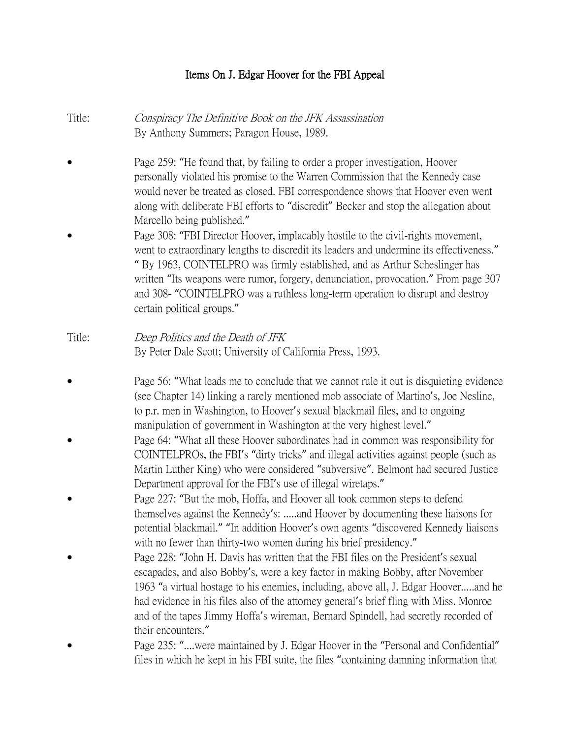# Items On J. Edgar Hoover for the FBI Appeal

| Title: | Conspiracy The Definitive Book on the JFK Assassination<br>By Anthony Summers; Paragon House, 1989.                                                                                                                                                                                                                                                                                                                                                                |
|--------|--------------------------------------------------------------------------------------------------------------------------------------------------------------------------------------------------------------------------------------------------------------------------------------------------------------------------------------------------------------------------------------------------------------------------------------------------------------------|
|        | Page 259: "He found that, by failing to order a proper investigation, Hoover<br>personally violated his promise to the Warren Commission that the Kennedy case<br>would never be treated as closed. FBI correspondence shows that Hoover even went<br>along with deliberate FBI efforts to "discredit" Becker and stop the allegation about<br>Marcello being published."                                                                                          |
|        | Page 308: "FBI Director Hoover, implacably hostile to the civil-rights movement,<br>went to extraordinary lengths to discredit its leaders and undermine its effectiveness."<br>" By 1963, COINTELPRO was firmly established, and as Arthur Scheslinger has<br>written "Its weapons were rumor, forgery, denunciation, provocation." From page 307<br>and 308- "COINTELPRO was a ruthless long-term operation to disrupt and destroy<br>certain political groups." |
| Title: | Deep Politics and the Death of JFK<br>By Peter Dale Scott; University of California Press, 1993.                                                                                                                                                                                                                                                                                                                                                                   |
|        | Page 56: "What leads me to conclude that we cannot rule it out is disquieting evidence<br>(see Chapter 14) linking a rarely mentioned mob associate of Martino's, Joe Nesline,<br>to p.r. men in Washington, to Hoover's sexual blackmail files, and to ongoing<br>manipulation of government in Washington at the very highest level."                                                                                                                            |
|        | Page 64: "What all these Hoover subordinates had in common was responsibility for<br>COINTELPROs, the FBI's "dirty tricks" and illegal activities against people (such as<br>Martin Luther King) who were considered "subversive". Belmont had secured Justice<br>Department approval for the FBI's use of illegal wiretaps."                                                                                                                                      |
|        | Page 227: "But the mob, Hoffa, and Hoover all took common steps to defend<br>themselves against the Kennedy's: and Hoover by documenting these liaisons for<br>potential blackmail." "In addition Hoover's own agents "discovered Kennedy liaisons<br>with no fewer than thirty-two women during his brief presidency."                                                                                                                                            |
|        | Page 228: "John H. Davis has written that the FBI files on the President's sexual<br>escapades, and also Bobby's, were a key factor in making Bobby, after November<br>1963 "a virtual hostage to his enemies, including, above all, J. Edgar Hooverand he<br>had evidence in his files also of the attorney general's brief fling with Miss. Monroe<br>and of the tapes Jimmy Hoffa's wireman, Bernard Spindell, had secretly recorded of<br>their encounters."   |
|        | Page 235: "were maintained by J. Edgar Hoover in the "Personal and Confidential"                                                                                                                                                                                                                                                                                                                                                                                   |

files in which he kept in his FBI suite, the files "containing damning information that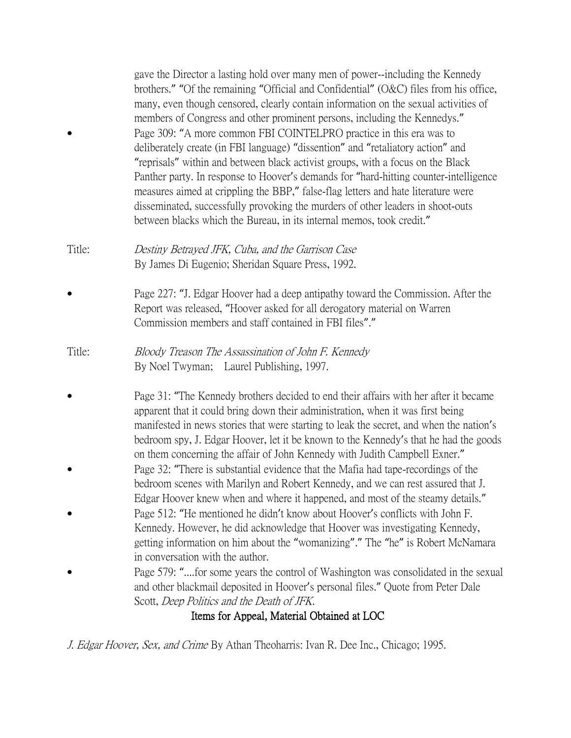gave the Director a lasting hold over many men of power--including the Kennedy brothers." "Of the remaining "Official and Confidential" (O&C) files from his office, many, even though censored, clearly contain information on the sexual activities of members of Congress and other prominent persons, including the Kennedys." Page 309: "A more common FBI COINTELPRO practice in this era was to deliberately create (in FBI language) "dissention" and "retaliatory action" and "reprisals" within and between black activist groups, with a focus on the Black Panther party. In response to Hoover's demands for "hard-hitting counter-intelligence measures aimed at crippling the BBP," false-flag letters and hate literature were disseminated, successfully provoking the murders of other leaders in shoot-outs between blacks which the Bureau, in its internal memos, took credit."

#### Title: Destiny Betrayed JFK, Cuba, and the Garrison Case By James Di Eugenio; Sheridan Square Press, 1992.

 Page 227: "J. Edgar Hoover had a deep antipathy toward the Commission. After the Report was released, "Hoover asked for all derogatory material on Warren Commission members and staff contained in FBI files"."

### Title: Bloody Treason The Assassination of John F. Kennedy By Noel Twyman; Laurel Publishing, 1997.

- Page 31: "The Kennedy brothers decided to end their affairs with her after it became apparent that it could bring down their administration, when it was first being manifested in news stories that were starting to leak the secret, and when the nation's bedroom spy, J. Edgar Hoover, let it be known to the Kennedy's that he had the goods on them concerning the affair of John Kennedy with Judith Campbell Exner."
- Page 32: "There is substantial evidence that the Mafia had tape-recordings of the bedroom scenes with Marilyn and Robert Kennedy, and we can rest assured that J. Edgar Hoover knew when and where it happened, and most of the steamy details."
- Page 512: "He mentioned he didn't know about Hoover's conflicts with John F. Kennedy. However, he did acknowledge that Hoover was investigating Kennedy, getting information on him about the "womanizing"." The "he" is Robert McNamara in conversation with the author.
- Page 579: "....for some years the control of Washington was consolidated in the sexual and other blackmail deposited in Hoover's personal files." Quote from Peter Dale Scott, Deep Politics and the Death of JFK.

# Items for Appeal, Material Obtained at LOC

J. Edgar Hoover, Sex, and Crime By Athan Theoharris: Ivan R. Dee Inc., Chicago; 1995.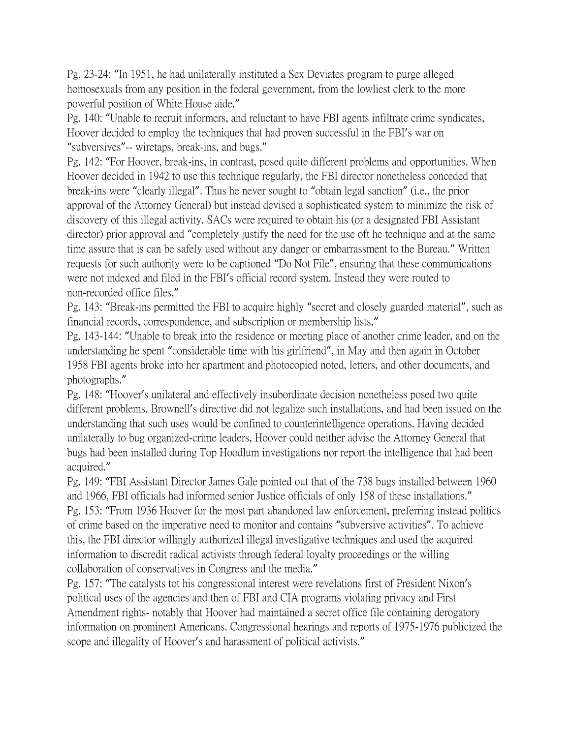Pg. 23-24: "In 1951, he had unilaterally instituted a Sex Deviates program to purge alleged homosexuals from any position in the federal government, from the lowliest clerk to the more powerful position of White House aide."

Pg. 140: "Unable to recruit informers, and reluctant to have FBI agents infiltrate crime syndicates, Hoover decided to employ the techniques that had proven successful in the FBI's war on "subversives"-- wiretaps, break-ins, and bugs."

Pg. 142: "For Hoover, break-ins, in contrast, posed quite different problems and opportunities. When Hoover decided in 1942 to use this technique regularly, the FBI director nonetheless conceded that break-ins were "clearly illegal". Thus he never sought to "obtain legal sanction" (i.e., the prior approval of the Attorney General) but instead devised a sophisticated system to minimize the risk of discovery of this illegal activity. SACs were required to obtain his (or a designated FBI Assistant director) prior approval and "completely justify the need for the use oft he technique and at the same time assure that is can be safely used without any danger or embarrassment to the Bureau." Written requests for such authority were to be captioned "Do Not File", ensuring that these communications were not indexed and filed in the FBI's official record system. Instead they were routed to non-recorded office files."

Pg. 143: "Break-ins permitted the FBI to acquire highly "secret and closely guarded material", such as financial records, correspondence, and subscription or membership lists."

Pg. 143-144: "Unable to break into the residence or meeting place of another crime leader, and on the understanding he spent "considerable time with his girlfriend", in May and then again in October 1958 FBI agents broke into her apartment and photocopied noted, letters, and other documents, and photographs."

Pg. 148: "Hoover's unilateral and effectively insubordinate decision nonetheless posed two quite different problems. Brownell's directive did not legalize such installations, and had been issued on the understanding that such uses would be confined to counterintelligence operations. Having decided unilaterally to bug organized-crime leaders, Hoover could neither advise the Attorney General that bugs had been installed during Top Hoodlum investigations nor report the intelligence that had been acquired."

Pg. 149: "FBI Assistant Director James Gale pointed out that of the 738 bugs installed between 1960 and 1966, FBI officials had informed senior Justice officials of only 158 of these installations." Pg. 153: "From 1936 Hoover for the most part abandoned law enforcement, preferring instead politics of crime based on the imperative need to monitor and contains "subversive activities". To achieve this, the FBI director willingly authorized illegal investigative techniques and used the acquired information to discredit radical activists through federal loyalty proceedings or the willing collaboration of conservatives in Congress and the media."

Pg. 157: "The catalysts tot his congressional interest were revelations first of President Nixon's political uses of the agencies and then of FBI and CIA programs violating privacy and First Amendment rights- notably that Hoover had maintained a secret office file containing derogatory information on prominent Americans. Congressional hearings and reports of 1975-1976 publicized the scope and illegality of Hoover's and harassment of political activists."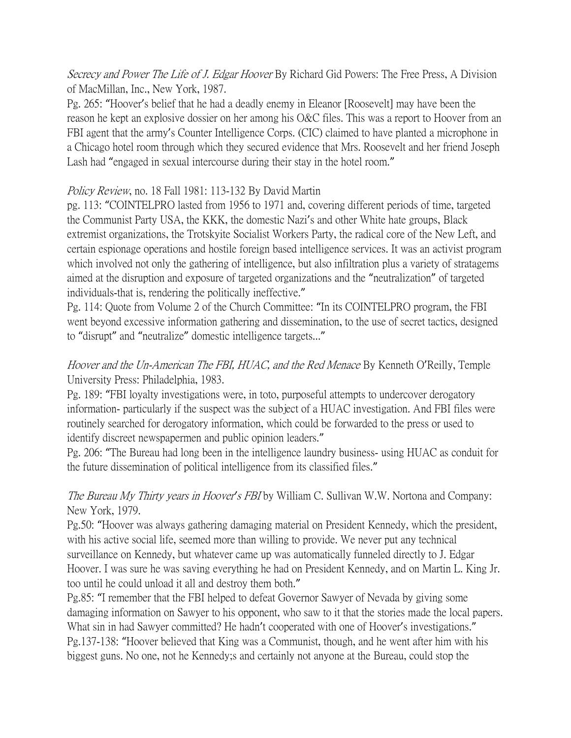Secrecy and Power The Life of J. Edgar Hoover By Richard Gid Powers: The Free Press, A Division of MacMillan, Inc., New York, 1987.

Pg. 265: "Hoover's belief that he had a deadly enemy in Eleanor [Roosevelt] may have been the reason he kept an explosive dossier on her among his O&C files. This was a report to Hoover from an FBI agent that the army's Counter Intelligence Corps. (CIC) claimed to have planted a microphone in a Chicago hotel room through which they secured evidence that Mrs. Roosevelt and her friend Joseph Lash had "engaged in sexual intercourse during their stay in the hotel room."

#### Policy Review, no. 18 Fall 1981: 113-132 By David Martin

pg. 113: "COINTELPRO lasted from 1956 to 1971 and, covering different periods of time, targeted the Communist Party USA, the KKK, the domestic Nazi's and other White hate groups, Black extremist organizations, the Trotskyite Socialist Workers Party, the radical core of the New Left, and certain espionage operations and hostile foreign based intelligence services. It was an activist program which involved not only the gathering of intelligence, but also infiltration plus a variety of stratagems aimed at the disruption and exposure of targeted organizations and the "neutralization" of targeted individuals-that is, rendering the politically ineffective."

Pg. 114: Quote from Volume 2 of the Church Committee: "In its COINTELPRO program, the FBI went beyond excessive information gathering and dissemination, to the use of secret tactics, designed to "disrupt" and "neutralize" domestic intelligence targets..."

## Hoover and the Un-American The FBI, HUAC, and the Red Menace By Kenneth O'Reilly, Temple University Press: Philadelphia, 1983.

Pg. 189: "FBI loyalty investigations were, in toto, purposeful attempts to undercover derogatory information- particularly if the suspect was the subject of a HUAC investigation. And FBI files were routinely searched for derogatory information, which could be forwarded to the press or used to identify discreet newspapermen and public opinion leaders."

Pg. 206: "The Bureau had long been in the intelligence laundry business- using HUAC as conduit for the future dissemination of political intelligence from its classified files."

### The Bureau My Thirty years in Hoover*'*s FBI by William C. Sullivan W.W. Nortona and Company: New York, 1979.

Pg.50: "Hoover was always gathering damaging material on President Kennedy, which the president, with his active social life, seemed more than willing to provide. We never put any technical surveillance on Kennedy, but whatever came up was automatically funneled directly to J. Edgar Hoover. I was sure he was saving everything he had on President Kennedy, and on Martin L. King Jr. too until he could unload it all and destroy them both."

Pg.85: "I remember that the FBI helped to defeat Governor Sawyer of Nevada by giving some damaging information on Sawyer to his opponent, who saw to it that the stories made the local papers. What sin in had Sawyer committed? He hadn't cooperated with one of Hoover's investigations." Pg.137-138: "Hoover believed that King was a Communist, though, and he went after him with his biggest guns. No one, not he Kennedy;s and certainly not anyone at the Bureau, could stop the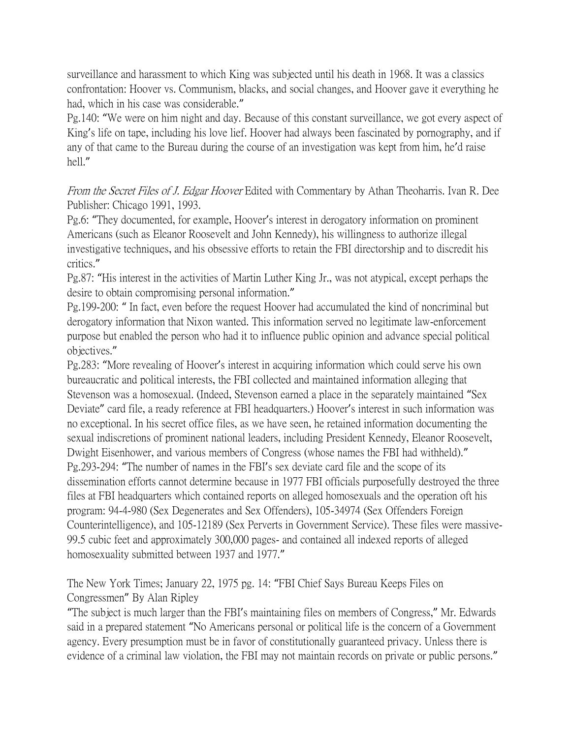surveillance and harassment to which King was subjected until his death in 1968. It was a classics confrontation: Hoover vs. Communism, blacks, and social changes, and Hoover gave it everything he had, which in his case was considerable."

Pg.140: "We were on him night and day. Because of this constant surveillance, we got every aspect of King's life on tape, including his love lief. Hoover had always been fascinated by pornography, and if any of that came to the Bureau during the course of an investigation was kept from him, he'd raise hell."

From the Secret Files of J. Edgar Hoover Edited with Commentary by Athan Theoharris. Ivan R. Dee Publisher: Chicago 1991, 1993.

Pg.6: "They documented, for example, Hoover's interest in derogatory information on prominent Americans (such as Eleanor Roosevelt and John Kennedy), his willingness to authorize illegal investigative techniques, and his obsessive efforts to retain the FBI directorship and to discredit his critics."

Pg.87: "His interest in the activities of Martin Luther King Jr., was not atypical, except perhaps the desire to obtain compromising personal information."

Pg.199-200: " In fact, even before the request Hoover had accumulated the kind of noncriminal but derogatory information that Nixon wanted. This information served no legitimate law-enforcement purpose but enabled the person who had it to influence public opinion and advance special political objectives."

Pg.283: "More revealing of Hoover's interest in acquiring information which could serve his own bureaucratic and political interests, the FBI collected and maintained information alleging that Stevenson was a homosexual. (Indeed, Stevenson earned a place in the separately maintained "Sex Deviate" card file, a ready reference at FBI headquarters.) Hoover's interest in such information was no exceptional. In his secret office files, as we have seen, he retained information documenting the sexual indiscretions of prominent national leaders, including President Kennedy, Eleanor Roosevelt, Dwight Eisenhower, and various members of Congress (whose names the FBI had withheld)." Pg.293-294: "The number of names in the FBI's sex deviate card file and the scope of its dissemination efforts cannot determine because in 1977 FBI officials purposefully destroyed the three files at FBI headquarters which contained reports on alleged homosexuals and the operation oft his program: 94-4-980 (Sex Degenerates and Sex Offenders), 105-34974 (Sex Offenders Foreign Counterintelligence), and 105-12189 (Sex Perverts in Government Service). These files were massive-99.5 cubic feet and approximately 300,000 pages- and contained all indexed reports of alleged homosexuality submitted between 1937 and 1977."

The New York Times; January 22, 1975 pg. 14: "FBI Chief Says Bureau Keeps Files on Congressmen" By Alan Ripley

"The subject is much larger than the FBI's maintaining files on members of Congress," Mr. Edwards said in a prepared statement "No Americans personal or political life is the concern of a Government agency. Every presumption must be in favor of constitutionally guaranteed privacy. Unless there is evidence of a criminal law violation, the FBI may not maintain records on private or public persons."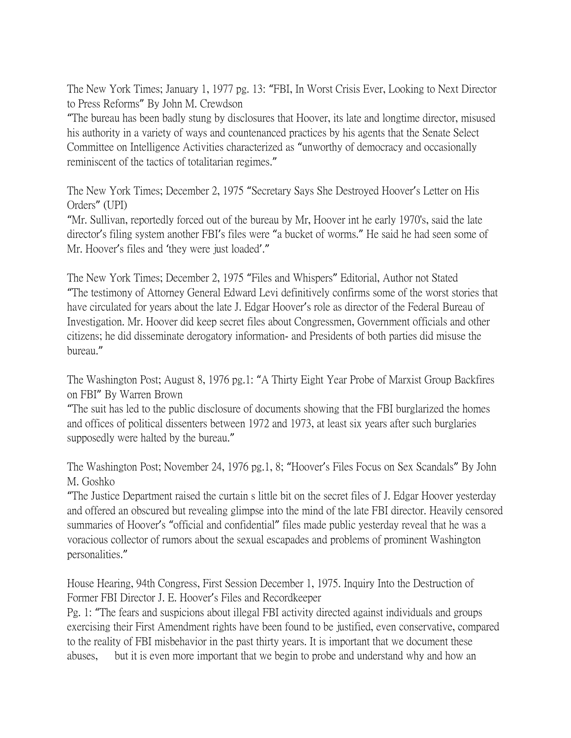The New York Times; January 1, 1977 pg. 13: "FBI, In Worst Crisis Ever, Looking to Next Director to Press Reforms" By John M. Crewdson

"The bureau has been badly stung by disclosures that Hoover, its late and longtime director, misused his authority in a variety of ways and countenanced practices by his agents that the Senate Select Committee on Intelligence Activities characterized as "unworthy of democracy and occasionally reminiscent of the tactics of totalitarian regimes."

The New York Times; December 2, 1975 "Secretary Says She Destroyed Hoover's Letter on His Orders" (UPI)

"Mr. Sullivan, reportedly forced out of the bureau by Mr, Hoover int he early 1970's, said the late director's filing system another FBI's files were "a bucket of worms." He said he had seen some of Mr. Hoover's files and 'they were just loaded'."

The New York Times; December 2, 1975 "Files and Whispers" Editorial, Author not Stated "The testimony of Attorney General Edward Levi definitively confirms some of the worst stories that have circulated for years about the late J. Edgar Hoover's role as director of the Federal Bureau of Investigation. Mr. Hoover did keep secret files about Congressmen, Government officials and other citizens; he did disseminate derogatory information- and Presidents of both parties did misuse the bureau."

The Washington Post; August 8, 1976 pg.1: "A Thirty Eight Year Probe of Marxist Group Backfires on FBI" By Warren Brown

"The suit has led to the public disclosure of documents showing that the FBI burglarized the homes and offices of political dissenters between 1972 and 1973, at least six years after such burglaries supposedly were halted by the bureau."

The Washington Post; November 24, 1976 pg.1, 8; "Hoover's Files Focus on Sex Scandals" By John M. Goshko

"The Justice Department raised the curtain s little bit on the secret files of J. Edgar Hoover yesterday and offered an obscured but revealing glimpse into the mind of the late FBI director. Heavily censored summaries of Hoover's "official and confidential" files made public yesterday reveal that he was a voracious collector of rumors about the sexual escapades and problems of prominent Washington personalities."

House Hearing, 94th Congress, First Session December 1, 1975. Inquiry Into the Destruction of Former FBI Director J. E. Hoover's Files and Recordkeeper

Pg. 1: "The fears and suspicions about illegal FBI activity directed against individuals and groups exercising their First Amendment rights have been found to be justified, even conservative, compared to the reality of FBI misbehavior in the past thirty years. It is important that we document these abuses, but it is even more important that we begin to probe and understand why and how an